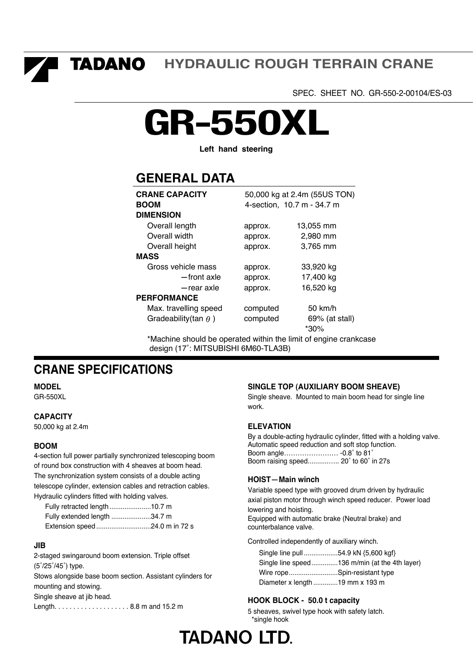**TADANO HYDRAULIC ROUGH TERRAIN CRANE** 

SPEC. SHEET NO. GR-550-2-00104/ES-03

# **GR-550XL**

**Left hand steering** 

### **GENERAL DATA**

| <b>CRANE CAPACITY</b>       | 50,000 kg at 2.4m (55US TON) |                            |  |  |  |  |  |  |  |
|-----------------------------|------------------------------|----------------------------|--|--|--|--|--|--|--|
| <b>BOOM</b>                 |                              | 4-section, 10.7 m - 34.7 m |  |  |  |  |  |  |  |
| <b>DIMENSION</b>            |                              |                            |  |  |  |  |  |  |  |
| Overall length              | approx.                      | 13,055 mm                  |  |  |  |  |  |  |  |
| Overall width               | approx.                      | 2,980 mm                   |  |  |  |  |  |  |  |
| Overall height              | approx.                      | 3,765 mm                   |  |  |  |  |  |  |  |
| <b>MASS</b>                 |                              |                            |  |  |  |  |  |  |  |
| Gross vehicle mass          | approx.                      | 33,920 kg                  |  |  |  |  |  |  |  |
| -front axle                 | approx.                      | 17,400 kg                  |  |  |  |  |  |  |  |
| -rear axle                  | approx.                      | 16,520 kg                  |  |  |  |  |  |  |  |
| <b>PERFORMANCE</b>          |                              |                            |  |  |  |  |  |  |  |
| Max. travelling speed       | computed                     | $50 \text{ km/h}$          |  |  |  |  |  |  |  |
| Gradeability(tan $\theta$ ) | computed                     | $69\%$ (at stall)<br>*30%  |  |  |  |  |  |  |  |

\*Machine should be operated within the limit of engine crankcase design (17˚: MITSUBISHI 6M60-TLA3B)

### **CRANE SPECIFICATIONS**

**MODEL** 

GR-550XL

#### **CAPACITY**

50,000 kg at 2.4m

#### **BOOM**

4-section full power partially synchronized telescoping boom of round box construction with 4 sheaves at boom head. The synchronization system consists of a double acting telescope cylinder, extension cables and retraction cables. Hydraulic cylinders fitted with holding valves.

| Fully retracted length 10.7 m |  |
|-------------------------------|--|
| Fully extended length 34.7 m  |  |
| Extension speed24.0 m in 72 s |  |

#### **JIB**

2-staged swingaround boom extension. Triple offset (5˚/25˚/45˚) type. Stows alongside base boom section. Assistant cylinders for mounting and stowing. Single sheave at jib head. Length. . . . . . . . . . . . . . . . . . . . 8.8 m and 15.2 m

#### **SINGLE TOP (AUXILIARY BOOM SHEAVE)**

Single sheave. Mounted to main boom head for single line work.

#### **ELEVATION**

By a double-acting hydraulic cylinder, fitted with a holding valve. Automatic speed reduction and soft stop function. Boom angle…………………… -0.8˚ to 81˚ Boom raising speed...........….. 20˚ to 60˚ in 27s

# **HOIST** -**Main winch**

Variable speed type with grooved drum driven by hydraulic axial piston motor through winch speed reducer. Power load lowering and hoisting.

Equipped with automatic brake (Neutral brake) and counterbalance valve.

Controlled independently of auxiliary winch.

| Single line pull 54.9 kN {5,600 kgf} |                                               |
|--------------------------------------|-----------------------------------------------|
|                                      | Single line speed136 m/min (at the 4th layer) |
| Wire ropeSpin-resistant type         |                                               |
| Diameter x length 19 mm x 193 m      |                                               |

#### **HOOK BLOCK - 50.0 t capacity**

5 sheaves, swivel type hook with safety latch. \*single hook

## **TADANO LTD.**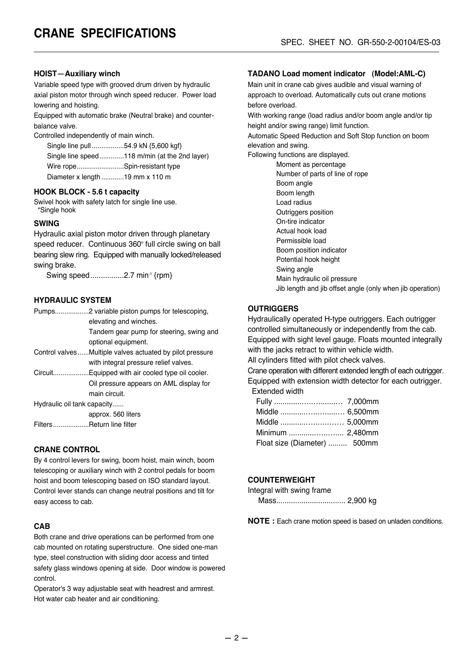#### **HOIST**-**Auxiliary winch**

Variable speed type with grooved drum driven by hydraulic axial piston motor through winch speed reducer. Power load lowering and hoisting.

Equipped with automatic brake (Neutral brake) and counterbalance valve.

Controlled independently of main winch.

Single line pull .................54.9 kN {5,600 kgf} Single line speed.............118 m/min (at the 2nd layer) Wire rope.........................Spin-resistant type Diameter x length ............19 mm x 110 m

#### **HOOK BLOCK - 5.6 t capacity**

Swivel hook with safety latch for single line use. \*Single hook

#### **SWING**

Hydraulic axial piston motor driven through planetary speed reducer. Continuous 360° full circle swing on ball bearing slew ring. Equipped with manually locked/released swing brake.

Swing speed................2.7 min<sup>-1</sup> {rpm}

#### **HYDRAULIC SYSTEM**

|                             | elevating and winches.                                   |
|-----------------------------|----------------------------------------------------------|
|                             | Tandem gear pump for steering, swing and                 |
|                             | optional equipment.                                      |
|                             | Control valvesMultiple valves actuated by pilot pressure |
|                             | with integral pressure relief valves.                    |
|                             | CircuitEquipped with air cooled type oil cooler.         |
|                             | Oil pressure appears on AML display for                  |
|                             | main circuit.                                            |
| Hydraulic oil tank capacity |                                                          |

approx. 560 liters Filters...................Return line filter

#### **CRANE CONTROL**

By 4 control levers for swing, boom hoist, main winch, boom telescoping or auxiliary winch with 2 control pedals for boom hoist and boom telescoping based on ISO standard layout. Control lever stands can change neutral positions and tilt for easy access to cab.

#### **CAB**

Both crane and drive operations can be performed from one cab mounted on rotating superstructure. One sided one-man type, steel construction with sliding door access and tinted safety glass windows opening at side. Door window is powered control.

Operator's 3 way adjustable seat with headrest and armrest. Hot water cab heater and air conditioning.

#### **TADANO Load moment indicator (Model:AML-C)**

Main unit in crane cab gives audible and visual warning of approach to overload. Automatically cuts out crane motions before overload.

With working range (load radius and/or boom angle and/or tip height and/or swing range) limit function.

Automatic Speed Reduction and Soft Stop function on boom elevation and swing.

Following functions are displayed.

 Moment as percentage Number of parts of line of rope Boom angle Boom length Load radius Outriggers position On-tire indicator Actual hook load Permissible load Boom position indicator Potential hook height Swing angle Main hydraulic oil pressure Jib length and jib offset angle (only when jib operation)

#### **OUTRIGGERS**

Hydraulically operated H-type outriggers. Each outrigger controlled simultaneously or independently from the cab. Equipped with sight level gauge. Floats mounted integrally with the jacks retract to within vehicle width.

All cylinders fitted with pilot check valves.

Crane operation with different extended length of each outrigger. Equipped with extension width detector for each outrigger. Extended width

| Middle  6,500mm              |  |
|------------------------------|--|
|                              |  |
| Minimum  2,480mm             |  |
| Float size (Diameter)  500mm |  |

#### **COUNTERWEIGHT**

Integral with swing frame

Mass................................. 2,900 kg

**NOTE :** Each crane motion speed is based on unladen conditions.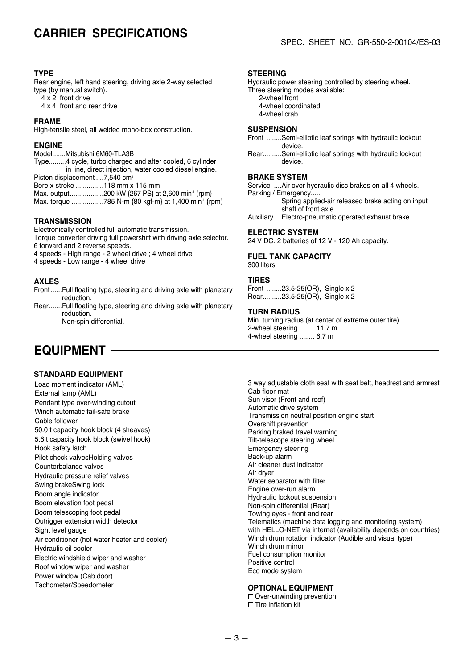#### **TYPE**

Rear engine, left hand steering, driving axle 2-way selected type (by manual switch).

- 4 x 2 front drive
- 4 x 4 front and rear drive

#### **FRAME**

High-tensile steel, all welded mono-box construction.

#### **ENGINE**

Model....... Mitsubishi 6M60-TLA3B Type.........4 cycle, turbo charged and after cooled, 6 cylinder in line, direct injection, water cooled diesel engine. Piston displacement ....7,540 cm<sup>3</sup> Bore x stroke ...............118 mm x 115 mm Max. output........................200 kW {267 PS} at 2,600 min<sup>-1</sup> {rpm}

Max. torque .................785 N-m {80 kgf-m} at 1,400 min-1 {rpm}

#### **TRANSMISSION**

Electronically controlled full automatic transmission. Torque converter driving full powershift with driving axle selector.

6 forward and 2 reverse speeds.

4 speeds - High range - 2 wheel drive ; 4 wheel drive

4 speeds - Low range - 4 wheel drive

#### **AXLES**

Front ......Full floating type, steering and driving axle with planetary reduction.

Rear.......Full floating type, steering and driving axle with planetary reduction. Non-spin differential.

### **EQUIPMENT**

#### **STANDARD EQUIPMENT**

Load moment indicator (AML) External lamp (AML) Pendant type over-winding cutout Winch automatic fail-safe brake Cable follower 50.0 t capacity hook block (4 sheaves) 5.6 t capacity hook block (swivel hook) Hook safety latch Pilot check valvesHolding valves Counterbalance valves Hydraulic pressure relief valves Swing brakeSwing lock Boom angle indicator Boom elevation foot pedal Boom telescoping foot pedal Outrigger extension width detector Sight level gauge Air conditioner (hot water heater and cooler) Hydraulic oil cooler Electric windshield wiper and washer Roof window wiper and washer Power window (Cab door) Tachometer/Speedometer

#### **STEERING**

Hydraulic power steering controlled by steering wheel.

- Three steering modes available: 2-wheel front
	- 4-wheel coordinated

4-wheel crab

#### **SUSPENSION**

- Front ........Semi-elliptic leaf springs with hydraulic lockout device.
- Rear..........Semi-elliptic leaf springs with hydraulic lockout device.

#### **BRAKE SYSTEM**

Service ....Air over hydraulic disc brakes on all 4 wheels.

- Parking / Emergency..... Spring applied-air released brake acting on input shaft of front axle.
- Auxiliary....Electro-pneumatic operated exhaust brake.

#### **ELECTRIC SYSTEM**

24 V DC. 2 batteries of 12 V - 120 Ah capacity.

#### **FUEL TANK CAPACITY**

300 liters

#### **TIRES**

Front ........23.5-25(OR), Single x 2 Rear..........23.5-25(OR), Single x 2

#### **TURN RADIUS**

Min. turning radius (at center of extreme outer tire) 2-wheel steering ........ 11.7 m 4-wheel steering ........ 6.7 m

3 way adjustable cloth seat with seat belt, headrest and armrest Cab floor mat Sun visor (Front and roof) Automatic drive system Transmission neutral position engine start Overshift prevention Parking braked travel warning Tilt-telescope steering wheel Emergency steering Back-up alarm Air cleaner dust indicator Air dryer Water separator with filter Engine over-run alarm Hydraulic lockout suspension Non-spin differential (Rear) Towing eyes - front and rear Telematics (machine data logging and monitoring system) with HELLO-NET via internet (availability depends on countries) Winch drum rotation indicator (Audible and visual type) Winch drum mirror Fuel consumption monitor Positive control Eco mode system

#### **OPTIONAL EQUIPMENT**

Over-unwinding prevention  $\Box$  Tire inflation kit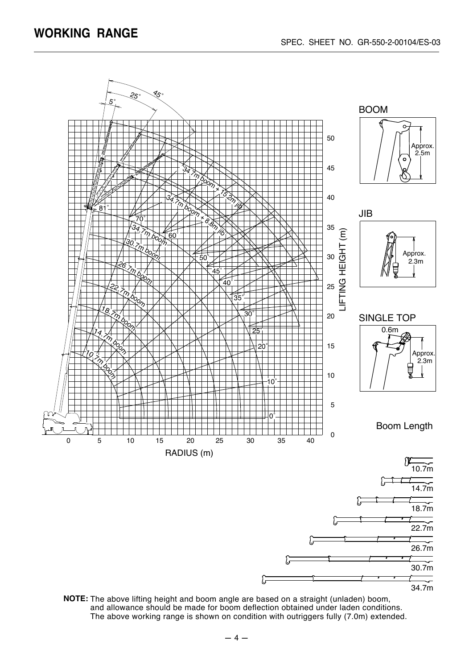

**NOTE:** The above lifting height and boom angle are based on a straight (unladen) boom, and allowance should be made for boom deflection obtained under laden conditions. The above working range is shown on condition with outriggers fully (7.0m) extended.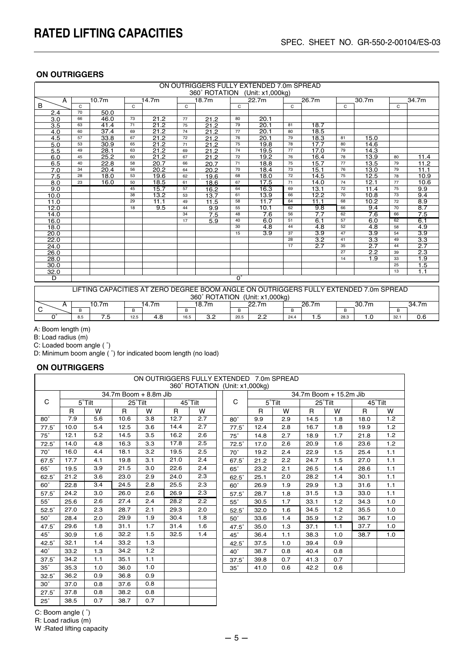| ON OUTRIGGERS FULLY EXTENDED 7.0m SPREAD |    |                   |              |       |    |                                |              |                  |    |                  |    |                                                                                       |                 |                   |
|------------------------------------------|----|-------------------|--------------|-------|----|--------------------------------|--------------|------------------|----|------------------|----|---------------------------------------------------------------------------------------|-----------------|-------------------|
|                                          |    |                   |              |       |    | 360° ROTATION (Unit: x1,000kg) |              |                  |    |                  |    |                                                                                       |                 |                   |
| A                                        |    | 10.7 <sub>m</sub> |              | 14.7m |    | 18.7m                          |              | 22.7m            |    | 26.7m            |    | 30.7m                                                                                 |                 | 34.7m             |
| B                                        | C  |                   | $\mathsf{C}$ |       | C  |                                | $\mathsf{C}$ |                  | C  |                  | C  |                                                                                       | C               |                   |
| 2.4                                      | 70 | 50.0              |              |       |    |                                |              |                  |    |                  |    |                                                                                       |                 |                   |
| $\overline{3.0}$                         | 66 | 46.0              | 73           | 21.2  | 77 | 21.2                           | 80           | 20.1             |    |                  |    |                                                                                       |                 |                   |
| 3.5                                      | 63 | 41.4              | 71           | 21.2  | 75 | 21.2                           | 79           | 20.1             | 81 | 18.7             |    |                                                                                       |                 |                   |
| 4.0                                      | 60 | 37.4              | 69           | 21.2  | 74 | 21.2                           | 77           | 20.1             | 80 | 18.5             |    |                                                                                       |                 |                   |
| 4.5                                      | 57 | 33.8              | 67           | 21.2  | 72 | 21.2                           | 76           | 20.1             | 79 | 18.3             | 81 | 15.0                                                                                  |                 |                   |
| 5.0                                      | 53 | 30.9              | 65           | 21.2  | 71 | 21.2                           | 75           | 19.8             | 78 | 17.7             | 80 | 14.6                                                                                  |                 |                   |
| 5.5                                      | 49 | 28.1              | 63           | 21.2  | 69 | 212                            | 74           | 19.5             | 77 | 17.0             | 79 | 14.3                                                                                  |                 |                   |
| 6.0                                      | 45 | 25.2              | 60           | 21.2  | 67 | 21.2                           | 72           | 19.2             | 76 | 16.4             | 78 | 13.9                                                                                  | 80              | 11.4              |
| 6.5                                      | 40 | 22.8              | 58           | 20.7  | 66 | 20.7                           | 71           | 18.8             | 75 | 15.7             | 77 | 13.5                                                                                  | 79              | 11.2              |
| 7.0                                      | 34 | 20.4              | 56           | 20.2  | 64 | 20.2                           | 70           | 18.4             | 73 | 15.1             | 76 | 13.0                                                                                  | 79              | 11.1              |
| 7.5                                      | 28 | 18.0              | 53           | 19.6  | 62 | 19.6                           | 68           | 18.0             | 72 | 14.5             | 75 | 12.5                                                                                  | 78              | 10.9              |
| 8.0                                      | 23 | 16.0              | 50           | 18.5  | 61 | 18.6                           | 67           | 17.5             | 71 | 14.0             | 74 | 12.1                                                                                  | 77              | 10.6              |
| 9.0                                      |    |                   | 45           | 15.7  | 57 | 16.2                           | 64           | 16.3             | 69 | 13.1             | 72 | 11.4                                                                                  | 75              | 9.9               |
| 10.0                                     |    |                   | 38           | 13.2  | 53 | 13.7                           | 61           | 13.9             | 66 | 12.2             | 70 | 10.8                                                                                  | 73              | 9.4               |
| 11.0                                     |    |                   | 29           | 11.1  | 49 | 11.5                           | 58           | 11.7             | 64 | 11.1             | 68 | 10.2                                                                                  | $\overline{72}$ | 8.9               |
| 12.0                                     |    |                   | 18           | 9.5   | 44 | 9.9                            | 55           | 10.1             | 62 | 9.8              | 66 | 9.4                                                                                   | 70              | 8.7               |
| 14.0                                     |    |                   |              |       | 34 | 7.5                            | 48           | 7.6              | 56 | 7.7              | 62 | 7.6                                                                                   | 66              | 7.5               |
| 16.0                                     |    |                   |              |       | 17 | 5.9                            | 40           | 6.0              | 51 | 6.1              | 57 | 6.0                                                                                   | 62              | 6.1               |
| 18.0                                     |    |                   |              |       |    |                                | 30           | $\overline{4.8}$ | 44 | $\overline{4.8}$ | 52 | $\overline{4.8}$                                                                      | 58              | $\overline{4.9}$  |
| 20.0                                     |    |                   |              |       |    |                                | 15           | $\overline{3.9}$ | 37 | $\overline{3.9}$ | 47 | $\overline{3.9}$                                                                      | 54              | $\overline{3.9}$  |
| 22.0                                     |    |                   |              |       |    |                                |              |                  | 28 | $\overline{3.2}$ | 41 | $\overline{3.3}$                                                                      | 49              | $\overline{3.3}$  |
| 24.0                                     |    |                   |              |       |    |                                |              |                  | 17 | 2.7              | 35 | $\overline{2.7}$                                                                      | 44              | $\overline{2.7}$  |
| 26.0                                     |    |                   |              |       |    |                                |              |                  |    |                  | 27 | 2.2                                                                                   | 39              | $\overline{2.3}$  |
| 28.0                                     |    |                   |              |       |    |                                |              |                  |    |                  | 14 | 1.9                                                                                   | 33              | 1.9               |
| 30.0                                     |    |                   |              |       |    |                                |              |                  |    |                  |    |                                                                                       | 25              | 1.5               |
| 32.0                                     |    |                   |              |       |    |                                |              |                  |    |                  |    |                                                                                       | 13              | 1.1               |
| D                                        |    |                   |              |       |    |                                | $0^{\circ}$  |                  |    |                  |    |                                                                                       |                 |                   |
|                                          |    |                   |              |       |    |                                |              |                  |    |                  |    |                                                                                       |                 |                   |
|                                          |    |                   |              |       |    | 360° ROTATION (Unit: x1,000kg) |              |                  |    |                  |    | LIFTING CAPACITIES AT ZERO DEGREE BOOM ANGLE ON OUTRIGGERS FULLY EXTENDED 7.0m SPREAD |                 |                   |
| A                                        |    | 10.7 <sub>m</sub> |              | 14.7m |    | 18.7m                          |              | 22.7m            |    | 26.7m            |    | 30.7 <sub>m</sub>                                                                     |                 | 34.7 <sub>m</sub> |
| C                                        | B  |                   | B            |       | B  |                                | B            |                  | B  |                  | B  |                                                                                       | B               |                   |

8.5 7.5 12.5 4.8 16.5 3.2 20.5 2.2 24.4 1.5 28.3 1.0 32.1 0.6

A: Boom length (m)

B: Load radius (m)

 $\overline{0}$ °

C: Loaded boom angle ( ˚)

D: Minimum boom angle ( ˚) for indicated boom length (no load)

#### **ON OUTRIGGERS**

| ON OUTRIGGERS FULLY EXTENDED 7.0m SPREAD<br>360° ROTATION (Unit: x1,000kg) |              |                |      |                       |      |         |  |              |              |                |      |                        |         |     |
|----------------------------------------------------------------------------|--------------|----------------|------|-----------------------|------|---------|--|--------------|--------------|----------------|------|------------------------|---------|-----|
|                                                                            |              |                |      |                       |      |         |  |              |              |                |      |                        |         |     |
|                                                                            |              |                |      | 34.7m Boom + 8.8m Jib |      |         |  |              |              |                |      | 34.7m Boom + 15.2m Jib |         |     |
| C                                                                          |              | $5^\circ$ Tilt |      | 25°Tilt               |      | 45°Tilt |  | C            |              | $5^\circ$ Tilt |      | 25°Tilt                | 45°Tilt |     |
|                                                                            | $\mathsf{R}$ | W              | R    | W                     | R    | W       |  |              | $\mathsf{R}$ | W              | R    | W                      | R       | W   |
| $80^\circ$                                                                 | 7.9          | 5.6            | 10.6 | 3.8                   | 12.7 | 2.7     |  | $80^\circ$   | 9.9          | 2.9            | 14.5 | 1.8                    | 18.0    | 1.2 |
| $77.5^\circ$                                                               | 10.0         | 5.4            | 12.5 | 3.6                   | 14.4 | 2.7     |  | $77.5^\circ$ | 12.4         | 2.8            | 16.7 | 1.8                    | 19.9    | 1.2 |
| $75^\circ$                                                                 | 12.1         | 5.2            | 14.5 | 3.5                   | 16.2 | 2.6     |  | $75^\circ$   | 14.8         | 2.7            | 18.9 | 1.7                    | 21.8    | 1.2 |
| $72.5^\circ$                                                               | 14.0         | 4.8            | 16.3 | 3.3                   | 17.8 | 2.5     |  | $72.5^\circ$ | 17.0         | 2.6            | 20.9 | 1.6                    | 23.6    | 1.2 |
| $70^\circ$                                                                 | 16.0         | 4.4            | 18.1 | 3.2                   | 19.5 | 2.5     |  | $70^\circ$   | 19.2         | 2.4            | 22.9 | 1.5                    | 25.4    | 1.1 |
| $67.5^\circ$                                                               | 17.7         | 4.1            | 19.8 | 3.1                   | 21.0 | 2.4     |  | 67.5°        | 21.2         | 2.2            | 24.7 | 1.5                    | 27.0    | 1.1 |
| $65^\circ$                                                                 | 19.5         | 3.9            | 21.5 | 3.0                   | 22.6 | 2.4     |  | $65^\circ$   | 23.2         | 2.1            | 26.5 | 1.4                    | 28.6    | 1.1 |
| $62.5^\circ$                                                               | 21.2         | 3.6            | 23.0 | 2.9                   | 24.0 | 2.3     |  | $62.5^\circ$ | 25.1         | 2.0            | 28.2 | 1.4                    | 30.1    | 1.1 |
| 60°                                                                        | 22.8         | 3.4            | 24.5 | 2.8                   | 25.5 | 2.3     |  | $60^\circ$   | 26.9         | 1.9            | 29.9 | 1.3                    | 31.6    | 1.1 |
| $57.5^\circ$                                                               | 24.2         | 3.0            | 26.0 | 2.6                   | 26.9 | 2.3     |  | $57.5^\circ$ | 28.7         | 1.8            | 31.5 | 1.3                    | 33.0    | 1.1 |
| $55^\circ$                                                                 | 25.6         | 2.6            | 27.4 | 2.4                   | 28.2 | 2.2     |  | $55^\circ$   | 30.5         | 1.7            | 33.1 | 1.2                    | 34.3    | 1.0 |
| $52.5^\circ$                                                               | 27.0         | 2.3            | 28.7 | 2.1                   | 29.3 | 2.0     |  | $52.5^\circ$ | 32.0         | 1.6            | 34.5 | 1.2                    | 35.5    | 1.0 |
| $50^\circ$                                                                 | 28.4         | 2.0            | 29.9 | 1.9                   | 30.4 | 1.8     |  | $50^\circ$   | 33.6         | 1.4            | 35.9 | 1.2                    | 36.7    | 1.0 |
| $47.5^\circ$                                                               | 29.6         | 1.8            | 31.1 | 1.7                   | 31.4 | 1.6     |  | $47.5^\circ$ | 35.0         | 1.3            | 37.1 | 1.1                    | 37.7    | 1.0 |
| $45^{\circ}$                                                               | 30.9         | 1.6            | 32.2 | 1.5                   | 32.5 | 1.4     |  | $45^\circ$   | 36.4         | 1.1            | 38.3 | 1.0                    | 38.7    | 1.0 |
| $42.5^\circ$                                                               | 32.1         | 1.4            | 33.2 | 1.3                   |      |         |  | $42.5^\circ$ | 37.5         | 1.0            | 39.4 | 0.9                    |         |     |
| $40^{\circ}$                                                               | 33.2         | 1.3            | 34.2 | 1.2                   |      |         |  | $40^\circ$   | 38.7         | 0.8            | 40.4 | 0.8                    |         |     |
| $37.5^\circ$                                                               | 34.2         | 1.1            | 35.1 | 1.1                   |      |         |  | $37.5^\circ$ | 39.8         | 0.7            | 41.3 | 0.7                    |         |     |
| $35^\circ$                                                                 | 35.3         | 1.0            | 36.0 | 1.0                   |      |         |  | $35^\circ$   | 41.0         | 0.6            | 42.2 | 0.6                    |         |     |
| $32.5^\circ$                                                               | 36.2         | 0.9            | 36.8 | 0.9                   |      |         |  |              |              |                |      |                        |         |     |
| $30^\circ$                                                                 | 37.0         | 0.8            | 37.6 | 0.8                   |      |         |  |              |              |                |      |                        |         |     |
| $27.5^\circ$                                                               | 37.8         | 0.8            | 38.2 | 0.8                   |      |         |  |              |              |                |      |                        |         |     |

 $\mathbb{R}^2$ 

 $\overline{\phantom{a}}$ 

C: Boom angle ( ˚)

25˚

R: Load radius (m)

W :Rated lifting capacity

38.5 0.7 38.7 0.7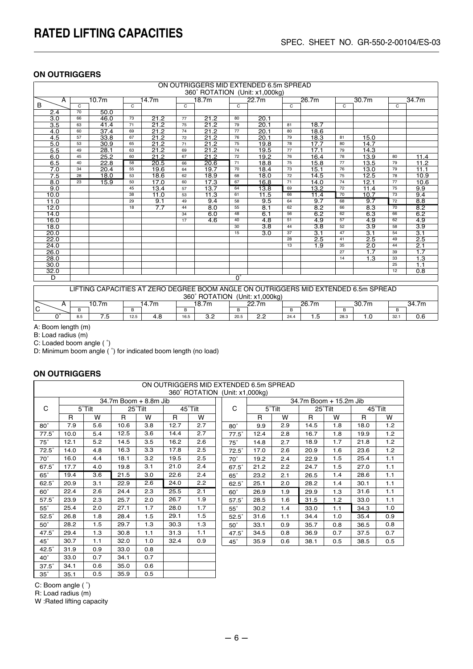|                  | ON OUTRIGGERS MID EXTENDED 6.5m SPREAD |                   |                            |       |              |       |             |                                |              |                                                                                     |       |                  |              |                  |
|------------------|----------------------------------------|-------------------|----------------------------|-------|--------------|-------|-------------|--------------------------------|--------------|-------------------------------------------------------------------------------------|-------|------------------|--------------|------------------|
|                  |                                        |                   |                            |       |              |       |             | 360° ROTATION (Unit: x1,000kg) |              |                                                                                     |       |                  |              |                  |
| A                |                                        | 10.7 <sub>m</sub> |                            | 14.7m |              | 18.7m |             | 22.7m                          |              | 26.7m                                                                               |       | 30.7m            |              | 34.7m            |
| B                | $\mathsf{C}$                           |                   | $\mathsf{C}$               |       | $\mathsf{C}$ |       | C           |                                | $\mathsf{C}$ |                                                                                     | C     |                  | $\mathsf{C}$ |                  |
| 2.4              | 70                                     | 50.0              |                            |       |              |       |             |                                |              |                                                                                     |       |                  |              |                  |
| $\overline{3.0}$ | 66                                     | 46.0              | 73                         | 21.2  | 77           | 21.2  | 80          | 20.1                           |              |                                                                                     |       |                  |              |                  |
| 3.5              | 63                                     | 41.4              | 71                         | 21.2  | 75           | 21.2  | 79          | 20.1                           | 81           | 18.7                                                                                |       |                  |              |                  |
| 4.0              | 60                                     | 37.4              | 69                         | 21.2  | 74           | 21.2  | 77          | 20.1                           | 80           | 18.6                                                                                |       |                  |              |                  |
| 4.5              | 57                                     | 33.8              | 67                         | 21.2  | 72           | 21.2  | 76          | 20.1                           | 79           | 18.3                                                                                | 81    | 15.0             |              |                  |
| 5.0              | 53                                     | 30.9              | 65                         | 21.2  | 71           | 21.2  | 75          | 19.8                           | 78           | 17.7                                                                                | 80    | 14.7             |              |                  |
| 5.5              | 49                                     | 28.1              | 63                         | 21.2  | 69           | 21.2  | 74          | 19.5                           | 77           | 17.1                                                                                | 79    | 14.3             |              |                  |
| 6.0              | 45                                     | 25.2              | 60                         | 21.2  | 67           | 21.2  | 72          | 19.2                           | 76           | 16.4                                                                                | 78    | 13.9             | 80           | 11.4             |
| 6.5              | 40                                     | 22.8              | 58                         | 20.5  | 66           | 20.6  | 71          | 18.8                           | 75           | 15.8                                                                                | 77    | 13.5             | 79           | 11.2             |
| 7.0              | 34                                     | 20.4              | 55                         | 19.6  | 64           | 19.7  | 70          | 18.4                           | 73           | 15.1                                                                                | 76    | 13.0             | 79           | 11.1             |
| 7.5              | 28                                     | 18.0              | 53                         | 18.6  | 62           | 18.9  | 68          | 18.0                           | 72           | 14.5                                                                                | 75    | 12.5             | 78           | 10.9             |
| 8.0              | 23                                     | 15.9              | 50                         | 17.0  | 60           | 17.3  | 67          | 16.8                           | 71           | 14.0                                                                                | 74    | 12.1             | 77           | 10.6             |
| 9.0              |                                        |                   | 45                         | 13.4  | 57           | 13.7  | 64          | 13.8                           | 69           | 13.2                                                                                | 72    | 11.4             | 75           | 9.9              |
| 10.0             |                                        |                   | 38                         | 11.0  | 53           | 11.3  | 61          | 11.5                           | 66           | 11.4                                                                                | 70    | 10.7             | 73           | 9.4              |
| 11.0             |                                        |                   | 29                         | 9.1   | 49           | 9.4   | 58          | 9.5                            | 64           | 9.7                                                                                 | 68    | 9.7              | 72           | 8.8              |
| 12.0             |                                        |                   | 18                         | 7.7   | 44           | 8.0   | 55          | 8.1                            | 62           | 8.2                                                                                 | 66    | 8.3              | 70           | 8.2              |
| 14.0             |                                        |                   |                            |       | 34           | 6.0   | 48          | 6.1                            | 56           | 6.2                                                                                 | 62    | 6.3              | 66           | 6.2              |
| 16.0             |                                        |                   |                            |       | 17           | 4.6   | 40          | $\overline{4.8}$               | 51           | 4.9                                                                                 | 57    | $\overline{4.9}$ | 62           | 4.9              |
| 18.0             |                                        |                   |                            |       |              |       | 30          | $\overline{3.8}$               | 44           | $\overline{3.8}$                                                                    | 52    | $\overline{3.9}$ | 58           | $\overline{3.9}$ |
| 20.0             |                                        |                   |                            |       |              |       | 15          | $\overline{3.0}$               | 37           | $\overline{3.1}$                                                                    | 47    | 3.1              | 54           | $\overline{3.1}$ |
| 22.0             |                                        |                   |                            |       |              |       |             |                                | 28           | 2.5                                                                                 | 41    | 2.5              | 49           | 2.5              |
| 24.0             |                                        |                   |                            |       |              |       |             |                                | 13           | 1.9                                                                                 | 35    | 2.0              | 44           | 2.1              |
| 26.0             |                                        |                   |                            |       |              |       |             |                                |              |                                                                                     | 27    | 1.7              | 39           | 1.7              |
| 28.0             |                                        |                   |                            |       |              |       |             |                                |              |                                                                                     | 14    | 1.3              | 33           | 1.3              |
| 30.0             |                                        |                   |                            |       |              |       |             |                                |              |                                                                                     |       |                  | 25           | 1.1              |
| 32.0             |                                        |                   |                            |       |              |       |             |                                |              |                                                                                     |       |                  | 12           | 0.8              |
| $\overline{D}$   |                                        |                   |                            |       |              |       | $0^{\circ}$ |                                |              |                                                                                     |       |                  |              |                  |
|                  |                                        |                   |                            |       |              |       |             |                                |              |                                                                                     |       |                  |              |                  |
|                  |                                        |                   |                            |       |              |       |             |                                |              | LIFTING CAPACITIES AT ZERO DEGREE BOOM ANGLE ON OUTRIGGERS MID EXTENDED 6.5m SPREAD |       |                  |              |                  |
|                  |                                        |                   |                            |       |              |       |             | 360° ROTATION (Unit: x1,000kg) |              |                                                                                     |       |                  |              |                  |
| A                |                                        | 10.7 <sub>m</sub> | 14.7 <sub>m</sub><br>18.7m |       |              | 22.7m |             |                                | 26.7m        |                                                                                     | 30.7m |                  | 34.7m        |                  |
| l C              | $\sf B$                                |                   | B                          |       | B            |       | B           |                                | B            |                                                                                     | B     |                  | B            |                  |
| $0^{\circ}$      | 8.5                                    | 7.5               | 12.5                       | 4.8   | 16.5         | 3.2   | 20.5        | 2.2                            | 24.4         | 1.5                                                                                 | 28.3  | 1.0              | 32.1         | 0.6              |

A: Boom length (m)

B: Load radius (m)

C: Loaded boom angle ( ˚)

D: Minimum boom angle ( ˚) for indicated boom length (no load)

#### **ON OUTRIGGERS**

|              | ON OUTRIGGERS MID EXTENDED 6.5m SPREAD<br>360° ROTATION (Unit: x1,000kg) |        |              |                       |         |     |  |              |      |        |      |                        |      |                 |
|--------------|--------------------------------------------------------------------------|--------|--------------|-----------------------|---------|-----|--|--------------|------|--------|------|------------------------|------|-----------------|
|              |                                                                          |        |              | 34.7m Boom + 8.8m Jib |         |     |  |              |      |        |      | 34.7m Boom + 15.2m Jib |      |                 |
| C            |                                                                          | 5°Tilt |              | 25°Tilt               | 45°Tilt |     |  | C            |      | 5°Tilt |      | 25°Tilt                |      | $45^\circ$ Tilt |
|              | $\mathsf{R}$                                                             | W      | $\mathsf{R}$ | W                     | R       | W   |  |              | R    | W      | R    | W                      | R    | W               |
| $80^\circ$   | 7.9                                                                      | 5.6    | 10.6         | 3.8                   | 12.7    | 2.7 |  | $80^\circ$   | 9.9  | 2.9    | 14.5 | 1.8                    | 18.0 | 1.2             |
| $77.5^\circ$ | 10.0                                                                     | 5.4    | 12.5         | 3.6                   | 14.4    | 2.7 |  | $77.5^\circ$ | 12.4 | 2.8    | 16.7 | 1.8                    | 19.9 | 1.2             |
| $75^\circ$   | 12.1                                                                     | 5.2    | 14.5         | 3.5                   | 16.2    | 2.6 |  | $75^\circ$   | 14.8 | 2.7    | 18.9 | 1.7                    | 21.8 | 1.2             |
| $72.5^\circ$ | 14.0                                                                     | 4.8    | 16.3         | 3.3                   | 17.8    | 2.5 |  | $72.5^\circ$ | 17.0 | 2.6    | 20.9 | 1.6                    | 23.6 | 1.2             |
| $70^\circ$   | 16.0                                                                     | 4.4    | 18.1         | 3.2                   | 19.5    | 2.5 |  | $70^\circ$   | 19.2 | 2.4    | 22.9 | 1.5                    | 25.4 | 1.1             |
| $67.5^\circ$ | 17.7                                                                     | 4.0    | 19.8         | 3.1                   | 21.0    | 2.4 |  | 67.5°        | 21.2 | 2.2    | 24.7 | 1.5                    | 27.0 | 1.1             |
| $65^\circ$   | 19.4                                                                     | 3.6    | 21.5         | 3.0                   | 22.6    | 2.4 |  | $65^\circ$   | 23.2 | 2.1    | 26.5 | 1.4                    | 28.6 | 1.1             |
| $62.5^\circ$ | 20.9                                                                     | 3.1    | 22.9         | 2.6                   | 24.0    | 2.2 |  | $62.5^\circ$ | 25.1 | 2.0    | 28.2 | 1.4                    | 30.1 | 1.1             |
| $60^\circ$   | 22.4                                                                     | 2.6    | 24.4         | 2.3                   | 25.5    | 2.1 |  | $60^\circ$   | 26.9 | 1.9    | 29.9 | 1.3                    | 31.6 | 1.1             |
| $57.5^\circ$ | 23.9                                                                     | 2.3    | 25.7         | 2.0                   | 26.7    | 1.9 |  | $57.5^\circ$ | 28.5 | 1.6    | 31.5 | 1.2                    | 33.0 | 1.1             |
| $55^\circ$   | 25.4                                                                     | 2.0    | 27.1         | 1.7                   | 28.0    | 1.7 |  | $55^\circ$   | 30.2 | 1.4    | 33.0 | 1.1                    | 34.3 | 1.0             |
| $52.5^\circ$ | 26.8                                                                     | 1.8    | 28.4         | 1.5                   | 29.1    | 1.5 |  | $52.5^\circ$ | 31.6 | 1.1    | 34.4 | 1.0                    | 35.4 | 0.9             |
| $50^\circ$   | 28.2                                                                     | 1.5    | 29.7         | 1.3                   | 30.3    | 1.3 |  | $50^\circ$   | 33.1 | 0.9    | 35.7 | 0.8                    | 36.5 | 0.8             |
| $47.5^\circ$ | 29.4                                                                     | 1.3    | 30.8         | 1.1                   | 31.3    | 1.1 |  | $47.5^\circ$ | 34.5 | 0.8    | 36.9 | 0.7                    | 37.5 | 0.7             |
| $45^\circ$   | 30.7                                                                     | 1.1    | 32.0         | 1.0                   | 32.4    | 0.9 |  | $45^\circ$   | 35.9 | 0.6    | 38.1 | 0.5                    | 38.5 | 0.5             |
| $42.5^\circ$ | 31.9                                                                     | 0.9    | 33.0         | 0.8                   |         |     |  |              |      |        |      |                        |      |                 |
| $40^{\circ}$ | 33.0                                                                     | 0.7    | 34.1         | 0.7                   |         |     |  |              |      |        |      |                        |      |                 |
| $37.5^\circ$ | 34.1                                                                     | 0.6    | 35.0         | 0.6                   |         |     |  |              |      |        |      |                        |      |                 |

C: Boom angle ( ˚)

R: Load radius (m)

W :Rated lifting capacity

<u>35゜ | 35.1 | 0.5 | 35.9 | 0.5</u>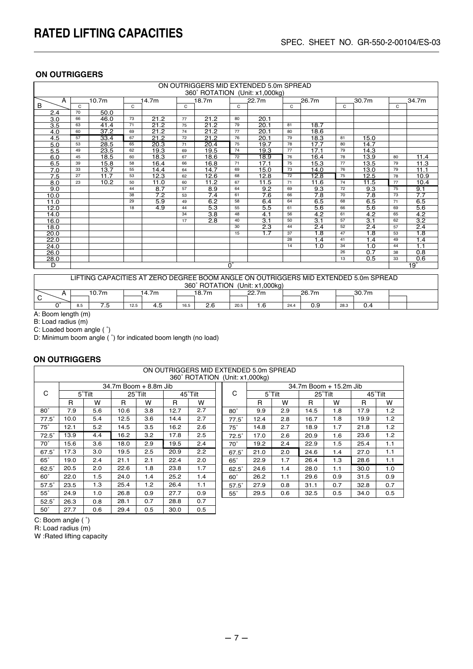|      | ON OUTRIGGERS MID EXTENDED 5.0m SPREAD<br>360° ROTATION (Unit: x1,000kg) |                   |    |                   |    |                   |    |                  |    |                  |                 |                  |    |                  |
|------|--------------------------------------------------------------------------|-------------------|----|-------------------|----|-------------------|----|------------------|----|------------------|-----------------|------------------|----|------------------|
| A    |                                                                          | 10.7 <sub>m</sub> |    | 14.7 <sub>m</sub> |    | 18.7 <sub>m</sub> |    | 22.7m            |    | 26.7m            |                 | 30.7m            |    | 34.7m            |
| B    | C                                                                        |                   | C  |                   | C  |                   | C  |                  | C  |                  | C               |                  | C  |                  |
| 2.4  | 70                                                                       | 50.0              |    |                   |    |                   |    |                  |    |                  |                 |                  |    |                  |
| 3.0  | 66                                                                       | 46.0              | 73 | 21.2              | 77 | 21.2              | 80 | 20.1             |    |                  |                 |                  |    |                  |
| 3.5  | 63                                                                       | 41.4              | 71 | 21.2              | 75 | 21.2              | 79 | 20.1             | 81 | 18.7             |                 |                  |    |                  |
| 4.0  | 60                                                                       | 37.2              | 69 | 21.2              | 74 | 21.2              | 77 | 20.1             | 80 | 18.6             |                 |                  |    |                  |
| 4.5  | 57                                                                       | 33.4              | 67 | 21.2              | 72 | 21.2              | 76 | 20.1             | 79 | 18.3             | 81              | 15.0             |    |                  |
| 5.0  | 53                                                                       | 28.5              | 65 | 20.3              | 71 | 20.4              | 75 | 19.7             | 78 | 17.7             | 80              | 14.7             |    |                  |
| 5.5  | 49                                                                       | 23.5              | 62 | 19.3              | 69 | 19.5              | 74 | 19.3             | 77 | 17.1             | 79              | 14.3             |    |                  |
| 6.0  | 45                                                                       | 18.5              | 60 | 18.3              | 67 | 18.6              | 72 | 18.9             | 76 | 16.4             | 78              | 13.9             | 80 | 11.4             |
| 6.5  | 39                                                                       | 15.8              | 58 | 16.4              | 66 | 16.8              | 71 | 17.1             | 75 | 15.3             | 77              | 13.5             | 79 | 11.3             |
| 7.0  | 33                                                                       | 13.7              | 55 | 14.4              | 64 | 14.7              | 69 | 15.0             | 73 | 14.0             | 76              | 13.0             | 79 | 11.1             |
| 7.5  | 27                                                                       | 11.7              | 53 | 12.3              | 62 | 12.6              | 68 | 12.8             | 72 | 12.8             | 75              | 12.5             | 78 | 10.9             |
| 8.0  | 23                                                                       | 10.2              | 50 | 11.0              | 60 | 11.2              | 67 | 11.5             | 71 | 11.6             | 74              | 11.5             | 77 | 10.4             |
| 9.0  |                                                                          |                   | 44 | 8.7               | 57 | 8.9               | 64 | 9.2              | 69 | 9.3              | 72              | 9.3              | 75 | 9.1              |
| 10.0 |                                                                          |                   | 38 | 7.2               | 53 | 7.4               | 61 | 7.6              | 66 | 7.8              | $\overline{70}$ | 7.8              | 73 | $\overline{7.7}$ |
| 11.0 |                                                                          |                   | 29 | 5.9               | 49 | 6.2               | 58 | 6.4              | 64 | 6.5              | 68              | 6.5              | 71 | 6.5              |
| 12.0 |                                                                          |                   | 18 | $\overline{4.9}$  | 44 | 5.3               | 55 | 5.5              | 61 | 5.6              | 66              | 5.6              | 69 | 5.6              |
| 14.0 |                                                                          |                   |    |                   | 34 | $\overline{3.8}$  | 48 | 4.1              | 56 | 4.2              | 61              | 4.2              | 65 | 4.2              |
| 16.0 |                                                                          |                   |    |                   | 17 | 2.8               | 40 | $\overline{3.1}$ | 50 | $\overline{3.1}$ | 57              | $\overline{3.1}$ | 62 | $\overline{3.2}$ |
| 18.0 |                                                                          |                   |    |                   |    |                   | 30 | $\overline{2.3}$ | 44 | $\overline{2.4}$ | 52              | 2.4              | 57 | 2.4              |
| 20.0 |                                                                          |                   |    |                   |    |                   | 15 | 1.7              | 37 | 1.8              | 47              | 1.8              | 53 | 1.8              |
| 22.0 |                                                                          |                   |    |                   |    |                   |    |                  | 28 | 1.4              | 41              | 1.4              | 49 | 1.4              |
| 24.0 |                                                                          |                   |    |                   |    |                   |    |                  | 14 | 1.0              | 34              | 1.0              | 44 | 1.1              |
| 26.0 |                                                                          |                   |    |                   |    |                   |    |                  |    |                  | 26              | 0.7              | 38 | 0.8              |
| 28.0 | 0.5<br>13                                                                |                   |    |                   |    |                   |    |                  |    |                  |                 |                  | 33 | 0.6              |
| D    | 19°<br>$0^{\circ}$                                                       |                   |    |                   |    |                   |    |                  |    |                  |                 |                  |    |                  |
|      |                                                                          |                   |    |                   |    |                   |    |                  |    |                  |                 |                  |    |                  |

|   | LIFTING CAPACITIES AT ZERO DEGREE BOOM ANGLE ON OUTRIGGERS MID EXTENDED 5.0m SPREAD |       |      |                                                                  |  |       |  |       |  |       |  |       |  |  |
|---|-------------------------------------------------------------------------------------|-------|------|------------------------------------------------------------------|--|-------|--|-------|--|-------|--|-------|--|--|
|   | 360° ROTATION (Unit: x1.000kg)                                                      |       |      |                                                                  |  |       |  |       |  |       |  |       |  |  |
|   |                                                                                     | 10.7m |      | 14.7m                                                            |  | 18.7m |  | 22.7m |  | 26.7m |  | 30.7m |  |  |
| С |                                                                                     |       |      |                                                                  |  |       |  |       |  |       |  |       |  |  |
|   | 8.5                                                                                 | . ت   | 12.5 | 2.6<br>0.9<br>. 6،<br>4.5<br>0.4<br>20.5<br>28.3<br>16.5<br>24.4 |  |       |  |       |  |       |  |       |  |  |

A: Boom length (m)

B: Load radius (m)

C: Loaded boom angle ( ˚)

D: Minimum boom angle ( ˚) for indicated boom length (no load)

#### **ON OUTRIGGERS**

|              | ON OUTRIGGERS MID EXTENDED 5.0m SPREAD |        |      |                       |         |                                |  |              |                        |        |      |         |         |                  |  |  |  |
|--------------|----------------------------------------|--------|------|-----------------------|---------|--------------------------------|--|--------------|------------------------|--------|------|---------|---------|------------------|--|--|--|
|              |                                        |        |      |                       |         | 360° ROTATION (Unit: x1.000kg) |  |              |                        |        |      |         |         |                  |  |  |  |
|              |                                        |        |      | 34.7m Boom + 8.8m Jib |         |                                |  |              | 34.7m Boom + 15.2m Jib |        |      |         |         |                  |  |  |  |
| C            |                                        | 5°Tilt |      | 25°Tilt               | 45°Tilt |                                |  | C            |                        | 5°Tilt |      | 25°Tilt | 45°Tilt |                  |  |  |  |
|              | R                                      | w      | R    | W                     | R       | w                              |  |              | R                      | W      | R    | W       | R       | W                |  |  |  |
| $80^\circ$   | 7.9                                    | 5.6    | 10.6 | 3.8                   | 12.7    | 2.7                            |  | $80^\circ$   | 9.9                    | 2.9    | 14.5 | 1.8     | 17.9    | 1.2              |  |  |  |
| $77.5^\circ$ | 10.0                                   | 5.4    | 12.5 | 3.6                   | 14.4    | 2.7                            |  | $77.5^\circ$ | 12.4                   | 2.8    | 16.7 | 1.8     | 19.9    | 1.2              |  |  |  |
| $75^\circ$   | 12.1                                   | 5.2    | 14.5 | 3.5                   | 16.2    | 2.6                            |  | $75^\circ$   | 14.8                   | 2.7    | 18.9 | 1.7     | 21.8    | 1.2 <sub>1</sub> |  |  |  |
| $72.5^\circ$ | 13.9                                   | 4.4    | 16.2 | 3.2                   | 17.8    | 2.5                            |  | $72.5^\circ$ | 17.0                   | 2.6    | 20.9 | 1.6     | 23.6    | 1.2              |  |  |  |
| $70^\circ$   | 15.6                                   | 3.6    | 18.0 | 2.9                   | 19.5    | 2.4                            |  | $70^\circ$   | 19.2                   | 2.4    | 22.9 | 1.5     | 25.4    | 1.1              |  |  |  |
| $67.5^\circ$ | 17.3                                   | 3.0    | 19.5 | 2.5                   | 20.9    | $2.2^{\circ}$                  |  | $67.5^\circ$ | 21.0                   | 2.0    | 24.6 | 1.4     | 27.0    | 1.1              |  |  |  |
| $65^\circ$   | 19.0                                   | 2.4    | 21.1 | 2.1                   | 22.4    | 2.0                            |  | $65^\circ$   | 22.9                   | 1.7    | 26.4 | 1.3     | 28.6    | 1.1              |  |  |  |
| $62.5^\circ$ | 20.5                                   | 2.0    | 22.6 | 1.8                   | 23.8    | 1.7                            |  | $62.5^\circ$ | 24.6                   | 1.4    | 28.0 | 1.1     | 30.0    | 1.0              |  |  |  |
| $60^\circ$   | 22.0                                   | 1.5    | 24.0 | 1.4                   | 25.2    | 1.4                            |  | $60^\circ$   | 26.2                   | 1.1    | 29.6 | 0.9     | 31.5    | 0.9              |  |  |  |
| $57.5^\circ$ | 23.5                                   | 1.3    | 25.4 | 1.2                   | 26.4    | 1.1                            |  | $57.5^\circ$ | 27.9                   | 0.8    | 31.1 | 0.7     | 32.8    | 0.7              |  |  |  |
| $55^\circ$   | 24.9                                   | 1.0    | 26.8 | 0.9                   | 27.7    | 0.9                            |  | $55^\circ$   | 29.5                   | 0.6    | 32.5 | 0.5     | 34.0    | 0.5              |  |  |  |
| $52.5^\circ$ | 26.3                                   | 0.8    | 28.1 | 0.7                   | 28.8    | 0.7                            |  |              |                        |        |      |         |         |                  |  |  |  |
| $50^\circ$   | 27.7                                   | 0.6    | 29.4 | 0.5                   | 30.0    | 0.5                            |  |              |                        |        |      |         |         |                  |  |  |  |

C: Boom angle ( ˚)

R: Load radius (m)

W :Rated lifting capacity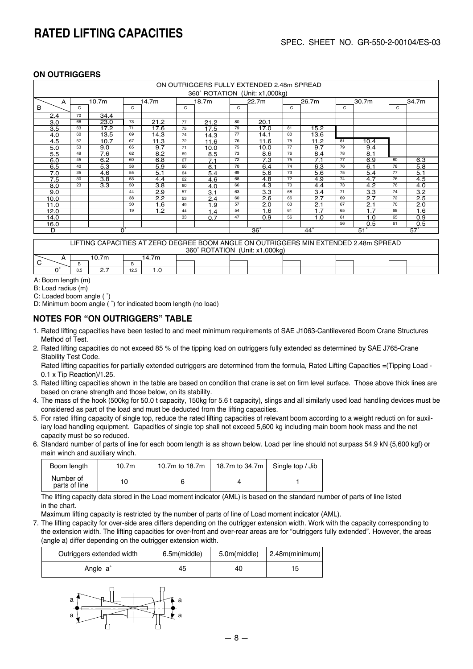|      | ON OUTRIGGERS FULLY EXTENDED 2.48m SPREAD |                   |                   |                   |    |                                |    |            |       |              |       |            |       |            |
|------|-------------------------------------------|-------------------|-------------------|-------------------|----|--------------------------------|----|------------|-------|--------------|-------|------------|-------|------------|
|      |                                           |                   |                   |                   |    | 360° ROTATION (Unit: x1,000kg) |    |            |       |              |       |            |       |            |
| A    |                                           | 10.7 <sub>m</sub> |                   | 14.7 <sub>m</sub> |    | 18.7 <sub>m</sub>              |    | 22.7m      | 26.7m |              | 30.7m |            | 34.7m |            |
| B    | C                                         |                   | C                 |                   | C  |                                | C  |            | C     |              | C     |            | C     |            |
| 2.4  | 70                                        | 34.4              |                   |                   |    |                                |    |            |       |              |       |            |       |            |
| 3.0  | 66                                        | 23.0              | 73                | 21.2              | 77 | 21.2                           | 80 | 20.1       |       |              |       |            |       |            |
| 3.5  | 63                                        | 17.2              | 71                | 17.6              | 75 | 17.5                           | 79 | 17.0       | 81    | 15.2         |       |            |       |            |
| 4.0  | 60                                        | 13.5              | 69                | 14.3              | 74 | 14.3                           | 77 | 14.1       | 80    | 13.6         |       |            |       |            |
| 4.5  | 57                                        | 10.7              | 67                | 11.3              | 72 | 11.6                           | 76 | 11.6       | 78    | 11.2         | 81    | 10.4       |       |            |
| 5.0  | 53                                        | 9.0               | 65                | 9.7               | 71 | 10.0                           | 75 | 10.0       | 77    | 9.7          | 79    | 9.4        |       |            |
| 5.5  | 49                                        | 7.6               | 62                | 8.2               | 69 | 8.5                            | 73 | 8.6        | 76    | 8.4          | 78    | 8.1        |       |            |
| 6.0  | 45                                        | 6.2               | 60                | 6.8               | 67 | 7.1                            | 72 | 7.3        | 75    | 7.1          | 77    | 6.9        | 80    | 6.3        |
| 6.5  | 40                                        | 5.3               | 58                | 5.9               | 66 | 6.1                            | 70 | 6.4        | 74    | 6.3          | 76    | 6.1        | 78    | 5.8        |
| 7.0  | 35                                        | 4.6               | 55                | 5.1               | 64 | 5.4                            | 69 | 5.6        | 73    | 5.6          | 75    | 5.4        | 77    | 5.1        |
| 7.5  | 30                                        | 3.8               | 53                | 4.4               | 62 | 4.6                            | 68 | 4.8        | 72    | 4.9          | 74    | 4.7        | 76    | 4.5        |
| 8.0  | 23                                        | 3.3               | 50                | 3.8               | 60 | 4.0                            | 66 | 4.3        | 70    | 4.4          | 73    | 4.2        | 76    | 4.0        |
| 9.0  |                                           |                   | 44                | 2.9               | 57 | 3.1                            | 63 | 3.3        | 68    | 3.4          | 71    | 3.3        | 74    | 3.2        |
| 10.0 |                                           |                   | 38                | 2.2               | 53 | 2.4                            | 60 | 2.6        | 66    | 2.7          | 69    | 2.7        | 72    | 2.5        |
| 11.0 |                                           |                   | 30                | 1.6               | 49 | 1.9                            | 57 | 2.0        | 63    | 2.1          | 67    | 2.1        | 70    | 2.0        |
| 12.0 |                                           |                   | 19                | 1.2               | 44 | 1.4                            | 54 | 1.6        | 61    | 1.7          | 65    | 1.7        | 68    | 1.6        |
| 14.0 |                                           |                   |                   |                   | 33 | 0.7                            | 47 | 0.9        | 56    | 1.0          | 61    | 1.0        | 65    | 0.9        |
| 16.0 |                                           |                   |                   |                   |    |                                |    |            |       |              | 56    | 0.5        | 61    | 0.5        |
| D    |                                           |                   | $\bar{0}^{\circ}$ |                   |    |                                |    | $36^\circ$ |       | $44^{\circ}$ |       | $51^\circ$ |       | $57^\circ$ |

LIFTING CAPACITIES AT ZERO DEGREE BOOM ANGLE ON OUTRIGGERS MIN EXTENDED 2.48m SPREAD 360˚ ROTATION (Unit: x1,000kg)

|   | 000110111011<br>101111.711000111 |          |      |      |  |  |  |  |  |  |  |  |  |
|---|----------------------------------|----------|------|------|--|--|--|--|--|--|--|--|--|
|   |                                  |          |      | 4.7m |  |  |  |  |  |  |  |  |  |
| ∽ |                                  |          |      |      |  |  |  |  |  |  |  |  |  |
|   | 8.5                              | <u>.</u> | 12.5 |      |  |  |  |  |  |  |  |  |  |
|   |                                  |          |      |      |  |  |  |  |  |  |  |  |  |

A: Boom length (m)

B: Load radius (m)

C: Loaded boom angle ( ˚)

D: Minimum boom angle ( ˚) for indicated boom length (no load)

#### **NOTES FOR "ON OUTRIGGERS" TABLE**

- 1. Rated lifting capacities have been tested to and meet minimum requirements of SAE J1063-Cantilevered Boom Crane Structures Method of Test.
- 2. Rated lifting capacities do not exceed 85 % of the tipping load on outriggers fully extended as determined by SAE J765-Crane Stability Test Code.

Rated lifting capacities for partially extended outriggers are determined from the formula, Rated Lifting Capacities =(Tipping Load -0.1 x Tip Reaction)/1.25.

- 3. Rated lifting capacities shown in the table are based on condition that crane is set on firm level surface. Those above thick lines are based on crane strength and those below, on its stability.
- 4. The mass of the hook (500kg for 50.0 t capacity, 150kg for 5.6 t capacity), slings and all similarly used load handling devices must be considered as part of the load and must be deducted from the lifting capacities.
- 5. For rated lifting capacity of single top, reduce the rated lifting capacities of relevant boom according to a weight reducti on for auxil iary load handling equipment. Capacities of single top shall not exceed 5,600 kg including main boom hook mass and the net capacity must be so reduced.
- 6. Standard number of parts of line for each boom length is as shown below. Load per line should not surpass 54.9 kN {5,600 kgf} or main winch and auxiliary winch.

| Boom length                | 10.7m | 10.7m to 18.7m | 18.7m to 34.7m $\vert$ | Single top / Jib |
|----------------------------|-------|----------------|------------------------|------------------|
| Number of<br>parts of line |       |                |                        |                  |

 The lifting capacity data stored in the Load moment indicator (AML) is based on the standard number of parts of line listed in the chart.

Maximum lifting capacity is restricted by the number of parts of line of Load moment indicator (AML).

7. The lifting capacity for over-side area differs depending on the outrigger extension width. Work with the capacity corresponding to the extension width. The lifting capacities for over-front and over-rear areas are for "outriggers fully extended". However, the areas (angle a) differ depending on the outrigger extension width.

| Outriggers extended width | 6.5m(middle) |    | $5.0m(middle)$   2.48m(minimum) |
|---------------------------|--------------|----|---------------------------------|
| Angle a <sup>®</sup>      | 45           | 40 |                                 |

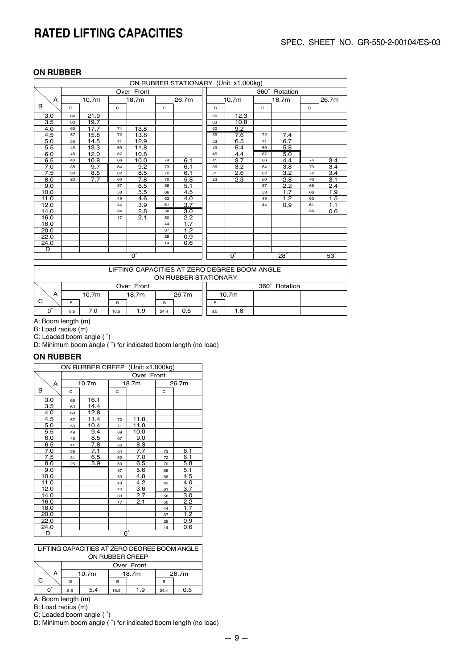#### **ON RUBBER**

|                        |             |                   |             |            |             | ON RUBBER STATIONARY (Unit: x1,000kg) |                        |               |                   |             |            |             |     |
|------------------------|-------------|-------------------|-------------|------------|-------------|---------------------------------------|------------------------|---------------|-------------------|-------------|------------|-------------|-----|
|                        |             |                   |             | Over Front |             |                                       |                        | 360° Rotation |                   |             |            |             |     |
| A                      |             | 10.7 <sub>m</sub> |             | 18.7m      |             | 26.7m                                 |                        |               | 10.7 <sub>m</sub> |             | 18.7m      | 26.7m       |     |
| B                      | $\mathbf C$ |                   | $\mathbf C$ |            | $\mathbf C$ |                                       |                        | С             |                   | $\mathbf C$ |            | $\mathbf C$ |     |
| 3.0                    | 66          | 21.9              |             |            |             |                                       |                        | 66            | 12.3              |             |            |             |     |
| 3.5                    | 63          | 19.7              |             |            |             |                                       |                        | 63            | 10.8              |             |            |             |     |
| 4.0                    | 60          | 17.7              | 74          | 13.8       |             |                                       |                        | 60            | 9.2               |             |            |             |     |
| 4.5                    | 57          | 15.8              | 72          | 13.8       |             |                                       |                        | 56            | 7.6               | 72          | 7.4        |             |     |
| 5.0                    | 53          | 14.5              | 71          | 12.9       |             |                                       |                        | 53            | 6.5               | 71          | 6.7        |             |     |
| 5.5                    | 49          | 13.3              | 69          | 11.8       |             |                                       |                        | 49            | 5.4               | 69          | 5.8        |             |     |
| 6.0                    | 45          | 12.0              | 67          | 10.8       |             |                                       |                        | 45            | 4.4               | 67          | 5.0        |             |     |
| 6.5                    | 40          | 10.8              | 66          | 10.0       | 74          | 6.1                                   |                        | 41            | 3.7               | 66          | 4.4        | 74          | 3.4 |
| 7.0                    | 35          | 9.7               | 64          | 9.2        | 73          | 6.1                                   |                        | 36            | 3.2               | 64          | 3.8        | 73          | 3.4 |
| 7.5                    | 30          | 8.5               | 62          | 8.5        | 72          | 6.1                                   |                        | 31            | 2.6               | 62          | 3.2        | 72          | 3.4 |
| 8.0                    | 23          | 7.7               | 60          | 7.8        | 70          | 5.8                                   |                        | 23            | 2.3               | 60          | 2.8        | 70          | 3.1 |
| 9.0                    |             |                   | 57          | 6.5        | 68          | 5.1                                   |                        |               |                   | 57          | 2.2        | 68          | 2.4 |
| 10.0                   |             |                   | 53          | 5.5        | 66          | 4.5                                   |                        |               |                   | 53          | 1.7        | 66          | 1.9 |
| 11.0                   |             |                   | 49          | 4.6        | 63          | 4.0                                   |                        |               |                   | 49          | 1.2        | 63          | 1.5 |
| 12.0                   |             |                   | 44          | 3.9        | 61          | 3.7                                   |                        |               |                   | 44          | 0.9        | 61          | 1.1 |
| 14.0                   |             |                   | 34          | 2.8        | 56          | 3.0                                   |                        |               |                   |             |            | 56          | 0.6 |
| 16.0                   |             |                   | 17          | 2.1        | 50          | 2.2                                   |                        |               |                   |             |            |             |     |
| 18.0                   |             |                   |             |            | 44          | 1.7                                   |                        |               |                   |             |            |             |     |
| 20.0                   |             |                   |             |            | 37          | 1.2                                   |                        |               |                   |             |            |             |     |
| 22.0                   |             |                   |             |            | 28          | 0.9                                   |                        |               |                   |             |            |             |     |
| 24.0                   |             |                   |             |            | 14          | 0.6                                   |                        |               |                   |             |            |             |     |
| D                      |             |                   |             |            |             |                                       |                        |               |                   |             |            |             |     |
| $\overline{0}^{\circ}$ |             |                   |             |            |             |                                       | $\overline{0^{\circ}}$ |               | $\overline{28}$ ° |             | $53^\circ$ |             |     |

|    | LIFTING CAPACITIES AT ZERO DEGREE BOOM ANGLE<br>ON RUBBER STATIONARY |       |      |       |      |       |     |                   |  |  |
|----|----------------------------------------------------------------------|-------|------|-------|------|-------|-----|-------------------|--|--|
|    | Over Front                                                           |       |      |       |      |       |     | 360°<br>Rotation  |  |  |
| A  |                                                                      | 10.7m |      | 18.7m |      | 26.7m |     | 10.7 <sub>m</sub> |  |  |
| C. | <sub>B</sub>                                                         |       | в    |       | в    |       | B   |                   |  |  |
|    | 8.5                                                                  | 7.0   | 16.5 | 1.9   | 24.4 | 0.5   | 8.5 | 1.8               |  |  |

A: Boom length (m)

B: Load radius (m)

C: Loaded boom angle ( ˚)

D: Minimum boom angle ( ˚) for indicated boom length (no load)

#### **ON RUBBER**

| ON RUBBER CREEP (Unit: x1,000kg) |    |                   |    |                  |       |                  |  |  |  |  |  |
|----------------------------------|----|-------------------|----|------------------|-------|------------------|--|--|--|--|--|
|                                  |    | Over Front        |    |                  |       |                  |  |  |  |  |  |
| А                                |    | 10.7 <sub>m</sub> |    | 18.7m            | 26.7m |                  |  |  |  |  |  |
| в                                | C  |                   | C  |                  | C     |                  |  |  |  |  |  |
| 3.0                              | 66 | 16.1              |    |                  |       |                  |  |  |  |  |  |
| 3.5                              | 63 | 14.4              |    |                  |       |                  |  |  |  |  |  |
| 4.0                              | 60 | 12.8              |    |                  |       |                  |  |  |  |  |  |
| 4.5                              | 57 | 11.4              | 72 | 11.8             |       |                  |  |  |  |  |  |
| 5.0                              | 53 | 10.4              | 71 | 11.0             |       |                  |  |  |  |  |  |
| 5.5                              | 49 | 9.4               | 69 | 10.0             |       |                  |  |  |  |  |  |
| 6.0                              | 45 | 8.5               | 67 | 9.0              |       |                  |  |  |  |  |  |
| 6.5                              | 41 | $\overline{7.8}$  | 66 | 8.3              |       |                  |  |  |  |  |  |
| 7.0                              | 36 | 7.1               | 64 | 7.7              | 73    | 6.1              |  |  |  |  |  |
| 7.5                              | 31 | 6.5               | 62 | 7.0              | 72    | 6.1              |  |  |  |  |  |
| 8.0                              | 23 | 5.9               | 60 | 6.5              | 70    | 5.8              |  |  |  |  |  |
| 9.0                              |    |                   | 57 | 5.6              | 68    | 5.1              |  |  |  |  |  |
| 10.0                             |    |                   | 53 | 4.8              | 66    | 4.5              |  |  |  |  |  |
| 11.0                             |    |                   | 49 | 4.2              | 63    | 4.0              |  |  |  |  |  |
| 12.0                             |    |                   | 44 | 3.6              | 61    | $\overline{3.7}$ |  |  |  |  |  |
| 14.0                             |    |                   | 33 | 2.7              | 56    | 3.0              |  |  |  |  |  |
| 16.0                             |    |                   | 17 | 2.1              | 50    | 2.2              |  |  |  |  |  |
| 18.0                             |    |                   |    |                  | 44    | 1.7              |  |  |  |  |  |
| 20.0                             |    |                   |    |                  | 37    | 1.2              |  |  |  |  |  |
| 22.0                             |    |                   |    |                  | 28    | 0.9              |  |  |  |  |  |
| 24.0                             |    |                   |    |                  | 14    | 0.6              |  |  |  |  |  |
| D                                |    |                   |    | $\overline{0}$ ° |       |                  |  |  |  |  |  |

| LIFTING CAPACITIES AT ZERO DEGREE BOOM ANGLE |
|----------------------------------------------|
| ON RUBBER CREEP                              |

|   |     | Over Front        |      |       |       |     |  |  |  |  |  |
|---|-----|-------------------|------|-------|-------|-----|--|--|--|--|--|
| ∼ |     | 10.7 <sub>m</sub> |      | 18.7m | 26.7m |     |  |  |  |  |  |
|   | в   |                   | в    |       | в     |     |  |  |  |  |  |
|   | 8.5 | 5.4               | 16.5 | 1.9   | 24.4  | 0.5 |  |  |  |  |  |

A: Boom length (m)

B: Load radius (m)

C: Loaded boom angle ( ˚)

D: Minimum boom angle ( ˚) for indicated boom length (no load)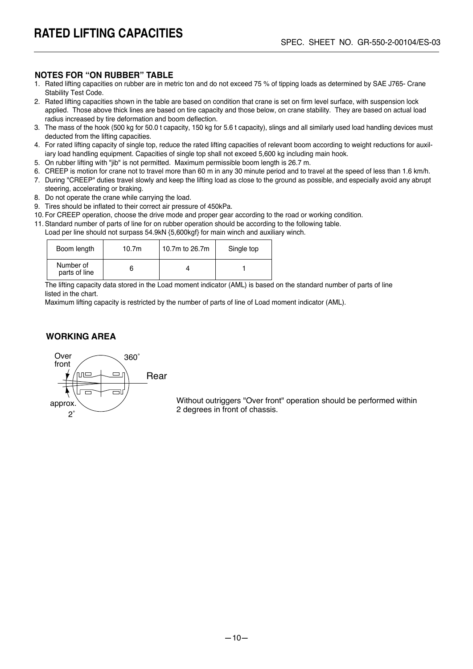#### **NOTES FOR "ON RUBBER" TABLE**

- 1. Rated lifting capacities on rubber are in metric ton and do not exceed 75 % of tipping loads as determined by SAE J765- Crane Stability Test Code.
- 2. Rated lifting capacities shown in the table are based on condition that crane is set on firm level surface, with suspension lock applied. Those above thick lines are based on tire capacity and those below, on crane stability. They are based on actual load radius increased by tire deformation and boom deflection.
- 3. The mass of the hook (500 kg for 50.0 t capacity, 150 kg for 5.6 t capacity), slings and all similarly used load handling devices must deducted from the lifting capacities.
- 4. For rated lifting capacity of single top, reduce the rated lifting capacities of relevant boom according to weight reductions for auxil iary load handling equipment. Capacities of single top shall not exceed 5,600 kg including main hook.
- 5. On rubber lifting with "jib" is not permitted. Maximum permissible boom length is 26.7 m.
- 6. CREEP is motion for crane not to travel more than 60 m in any 30 minute period and to travel at the speed of less than 1.6 km/h.
- 7. During "CREEP" duties travel slowly and keep the lifting load as close to the ground as possible, and especially avoid any abrupt steering, accelerating or braking.
- 8. Do not operate the crane while carrying the load.
- 9. Tires should be inflated to their correct air pressure of 450kPa.
- 10. For CREEP operation, choose the drive mode and proper gear according to the road or working condition.
- 11. Standard number of parts of line for on rubber operation should be according to the following table. Load per line should not surpass 54.9kN {5,600kgf} for main winch and auxiliary winch.

| Boom length                | 10.7 <sub>m</sub> | 10.7m to 26.7m | Single top |
|----------------------------|-------------------|----------------|------------|
| Number of<br>parts of line |                   |                |            |

 The lifting capacity data stored in the Load moment indicator (AML) is based on the standard number of parts of line listed in the chart.

Maximum lifting capacity is restricted by the number of parts of line of Load moment indicator (AML).

#### **WORKING AREA**



Without outriggers "Over front" operation should be performed within 2 degrees in front of chassis.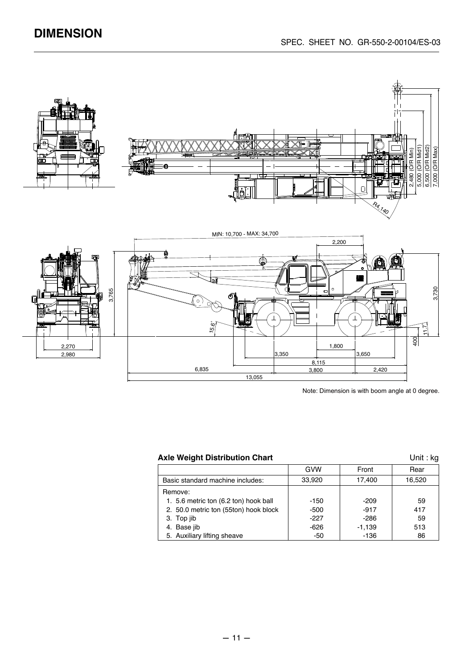

#### Axle Weight Distribution Chart **Axle Weight Distribution Chart Unit : kg**

|                                       | GVW    | Front    | Rear   |
|---------------------------------------|--------|----------|--------|
| Basic standard machine includes:      | 33.920 | 17.400   | 16,520 |
| Remove:                               |        |          |        |
| 1. 5.6 metric ton (6.2 ton) hook ball | $-150$ | $-209$   | 59     |
| 2. 50.0 metric ton (55ton) hook block | -500   | $-917$   | 417    |
| 3. Top jib                            | -227   | -286     | 59     |
| 4. Base jib                           | -626   | $-1.139$ | 513    |
| 5. Auxiliary lifting sheave           | -50    | $-136$   | 86     |